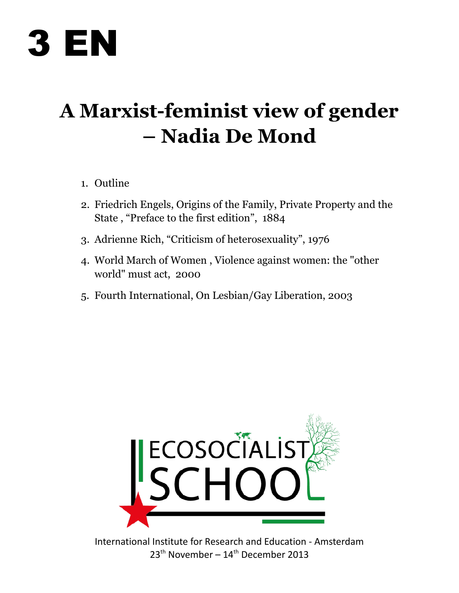

# **A Marxist-feminist view of gender – Nadia De Mond**

- 1. Outline
- 2. Friedrich Engels, Origins of the Family, Private Property and the State , "Preface to the first edition", 1884
- 3. Adrienne Rich, "Criticism of heterosexuality", 1976
- 4. World March of Women , Violence against women: the "other world" must act, 2000
- 5. Fourth International, On Lesbian/Gay Liberation, 2003



International Institute for Research and Education - Amsterdam  $23<sup>th</sup>$  November –  $14<sup>th</sup>$  December 2013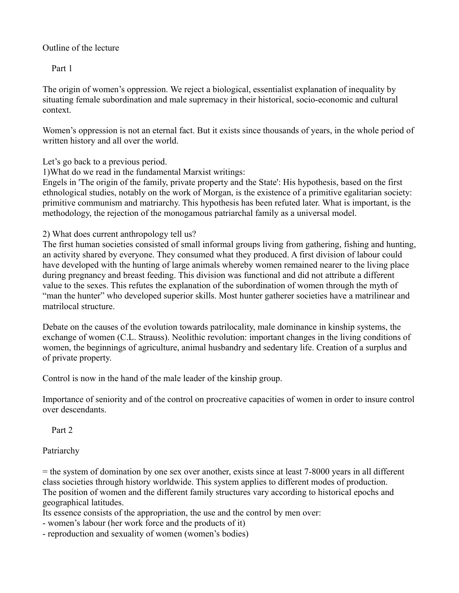# Outline of the lecture

Part 1

The origin of women's oppression. We reject a biological, essentialist explanation of inequality by situating female subordination and male supremacy in their historical, socio-economic and cultural context.

Women's oppression is not an eternal fact. But it exists since thousands of years, in the whole period of written history and all over the world.

Let's go back to a previous period.

1)What do we read in the fundamental Marxist writings:

Engels in 'The origin of the family, private property and the State': His hypothesis, based on the first ethnological studies, notably on the work of Morgan, is the existence of a primitive egalitarian society: primitive communism and matriarchy. This hypothesis has been refuted later. What is important, is the methodology, the rejection of the monogamous patriarchal family as a universal model.

2) What does current anthropology tell us?

The first human societies consisted of small informal groups living from gathering, fishing and hunting, an activity shared by everyone. They consumed what they produced. A first division of labour could have developed with the hunting of large animals whereby women remained nearer to the living place during pregnancy and breast feeding. This division was functional and did not attribute a different value to the sexes. This refutes the explanation of the subordination of women through the myth of "man the hunter" who developed superior skills. Most hunter gatherer societies have a matrilinear and matrilocal structure.

Debate on the causes of the evolution towards patrilocality, male dominance in kinship systems, the exchange of women (C.L. Strauss). Neolithic revolution: important changes in the living conditions of women, the beginnings of agriculture, animal husbandry and sedentary life. Creation of a surplus and of private property.

Control is now in the hand of the male leader of the kinship group.

Importance of seniority and of the control on procreative capacities of women in order to insure control over descendants.

Part 2

Patriarchy

= the system of domination by one sex over another, exists since at least 7-8000 years in all different class societies through history worldwide. This system applies to different modes of production. The position of women and the different family structures vary according to historical epochs and geographical latitudes.

Its essence consists of the appropriation, the use and the control by men over:

- women's labour (her work force and the products of it)

- reproduction and sexuality of women (women's bodies)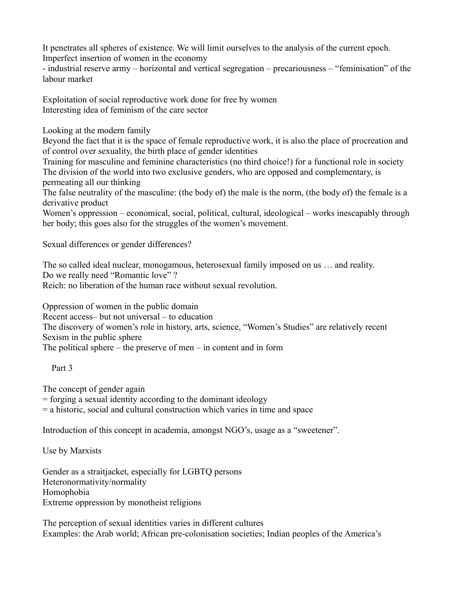It penetrates all spheres of existence. We will limit ourselves to the analysis of the current epoch. Imperfect insertion of women in the economy

- industrial reserve army – horizontal and vertical segregation – precariousness – "feminisation" of the labour market

Exploitation of social reproductive work done for free by women Interesting idea of feminism of the care sector

Looking at the modern family

Beyond the fact that it is the space of female reproductive work, it is also the place of procreation and of control over sexuality, the birth place of gender identities

Training for masculine and feminine characteristics (no third choice!) for a functional role in society The division of the world into two exclusive genders, who are opposed and complementary, is permeating all our thinking

The false neutrality of the masculine: (the body of) the male is the norm, (the body of) the female is a derivative product

Women's oppression – economical, social, political, cultural, ideological – works inescapably through her body; this goes also for the struggles of the women's movement.

Sexual differences or gender differences?

The so called ideal nuclear, monogamous, heterosexual family imposed on us … and reality. Do we really need "Romantic love"? Reich: no liberation of the human race without sexual revolution.

Oppression of women in the public domain

Recent access– but not universal – to education

The discovery of women's role in history, arts, science, "Women's Studies" are relatively recent Sexism in the public sphere

The political sphere – the preserve of men – in content and in form

Part 3

The concept of gender again

= forging a sexual identity according to the dominant ideology

= a historic, social and cultural construction which varies in time and space

Introduction of this concept in academia, amongst NGO's, usage as a "sweetener".

Use by Marxists

Gender as a straitjacket, especially for LGBTQ persons Heteronormativity/normality Homophobia Extreme oppression by monotheist religions

The perception of sexual identities varies in different cultures Examples: the Arab world; African pre-colonisation societies; Indian peoples of the America's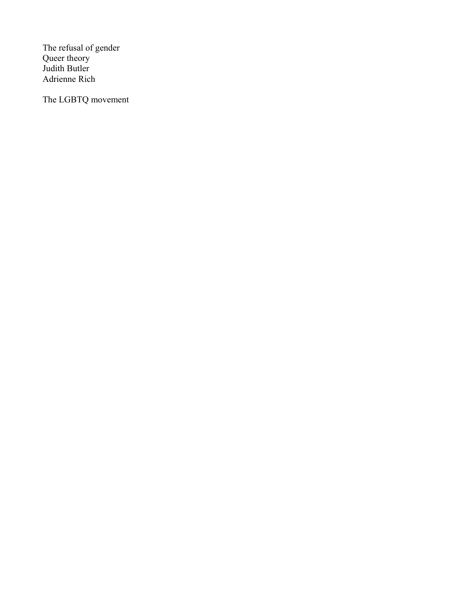The refusal of gender Queer theory Judith Butler Adrienne Rich

The LGBTQ movement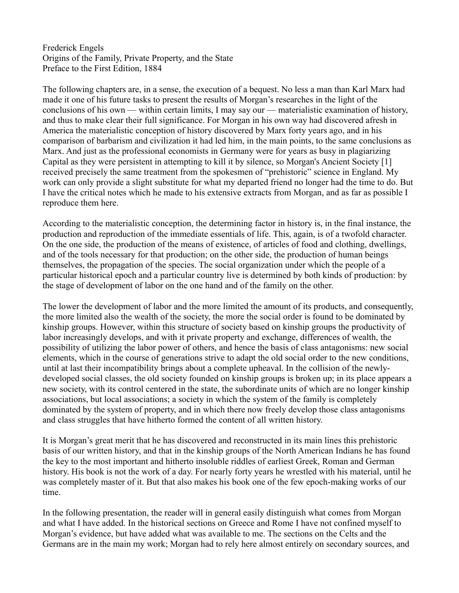Frederick Engels Origins of the Family, Private Property, and the State Preface to the First Edition, 1884

The following chapters are, in a sense, the execution of a bequest. No less a man than Karl Marx had made it one of his future tasks to present the results of Morgan's researches in the light of the conclusions of his own — within certain limits, I may say our — materialistic examination of history, and thus to make clear their full significance. For Morgan in his own way had discovered afresh in America the materialistic conception of history discovered by Marx forty years ago, and in his comparison of barbarism and civilization it had led him, in the main points, to the same conclusions as Marx. And just as the professional economists in Germany were for years as busy in plagiarizing Capital as they were persistent in attempting to kill it by silence, so Morgan's Ancient Society [1] received precisely the same treatment from the spokesmen of "prehistoric" science in England. My work can only provide a slight substitute for what my departed friend no longer had the time to do. But I have the critical notes which he made to his extensive extracts from Morgan, and as far as possible I reproduce them here.

According to the materialistic conception, the determining factor in history is, in the final instance, the production and reproduction of the immediate essentials of life. This, again, is of a twofold character. On the one side, the production of the means of existence, of articles of food and clothing, dwellings, and of the tools necessary for that production; on the other side, the production of human beings themselves, the propagation of the species. The social organization under which the people of a particular historical epoch and a particular country live is determined by both kinds of production: by the stage of development of labor on the one hand and of the family on the other.

The lower the development of labor and the more limited the amount of its products, and consequently, the more limited also the wealth of the society, the more the social order is found to be dominated by kinship groups. However, within this structure of society based on kinship groups the productivity of labor increasingly develops, and with it private property and exchange, differences of wealth, the possibility of utilizing the labor power of others, and hence the basis of class antagonisms: new social elements, which in the course of generations strive to adapt the old social order to the new conditions, until at last their incompatibility brings about a complete upheaval. In the collision of the newlydeveloped social classes, the old society founded on kinship groups is broken up; in its place appears a new society, with its control centered in the state, the subordinate units of which are no longer kinship associations, but local associations; a society in which the system of the family is completely dominated by the system of property, and in which there now freely develop those class antagonisms and class struggles that have hitherto formed the content of all written history.

It is Morgan's great merit that he has discovered and reconstructed in its main lines this prehistoric basis of our written history, and that in the kinship groups of the North American Indians he has found the key to the most important and hitherto insoluble riddles of earliest Greek, Roman and German history. His book is not the work of a day. For nearly forty years he wrestled with his material, until he was completely master of it. But that also makes his book one of the few epoch-making works of our time.

In the following presentation, the reader will in general easily distinguish what comes from Morgan and what I have added. In the historical sections on Greece and Rome I have not confined myself to Morgan's evidence, but have added what was available to me. The sections on the Celts and the Germans are in the main my work; Morgan had to rely here almost entirely on secondary sources, and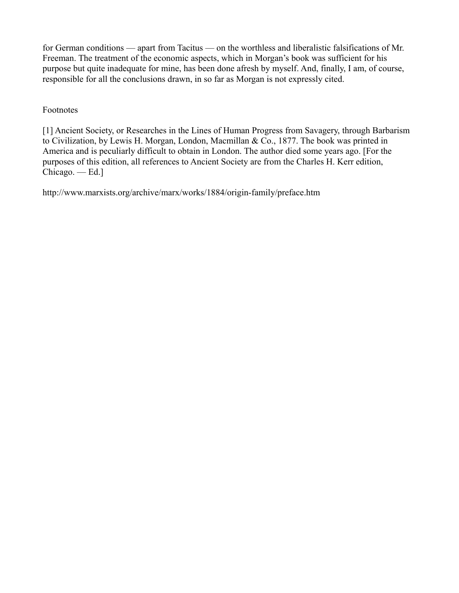for German conditions — apart from Tacitus — on the worthless and liberalistic falsifications of Mr. Freeman. The treatment of the economic aspects, which in Morgan's book was sufficient for his purpose but quite inadequate for mine, has been done afresh by myself. And, finally, I am, of course, responsible for all the conclusions drawn, in so far as Morgan is not expressly cited.

# Footnotes

[1] Ancient Society, or Researches in the Lines of Human Progress from Savagery, through Barbarism to Civilization, by Lewis H. Morgan, London, Macmillan & Co., 1877. The book was printed in America and is peculiarly difficult to obtain in London. The author died some years ago. [For the purposes of this edition, all references to Ancient Society are from the Charles H. Kerr edition, Chicago. — Ed.]

http://www.marxists.org/archive/marx/works/1884/origin-family/preface.htm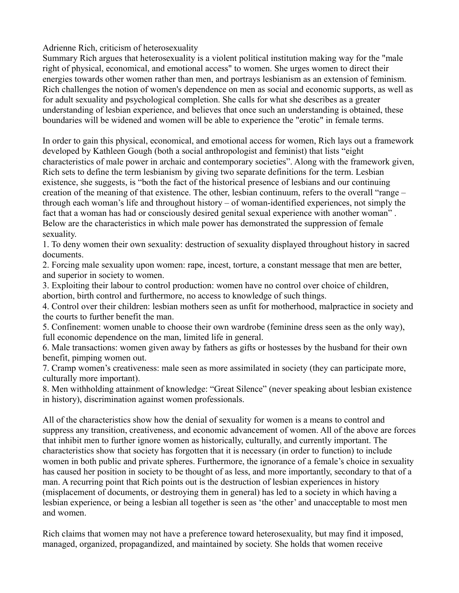Adrienne Rich, criticism of heterosexuality

Summary Rich argues that heterosexuality is a violent political institution making way for the "male right of physical, economical, and emotional access" to women. She urges women to direct their energies towards other women rather than men, and portrays lesbianism as an extension of feminism. Rich challenges the notion of women's dependence on men as social and economic supports, as well as for adult sexuality and psychological completion. She calls for what she describes as a greater understanding of lesbian experience, and believes that once such an understanding is obtained, these boundaries will be widened and women will be able to experience the "erotic" in female terms.

In order to gain this physical, economical, and emotional access for women, Rich lays out a framework developed by Kathleen Gough (both a social anthropologist and feminist) that lists "eight characteristics of male power in archaic and contemporary societies". Along with the framework given, Rich sets to define the term lesbianism by giving two separate definitions for the term. Lesbian existence, she suggests, is "both the fact of the historical presence of lesbians and our continuing creation of the meaning of that existence. The other, lesbian continuum, refers to the overall "range – through each woman's life and throughout history – of woman-identified experiences, not simply the fact that a woman has had or consciously desired genital sexual experience with another woman" . Below are the characteristics in which male power has demonstrated the suppression of female sexuality.

1. To deny women their own sexuality: destruction of sexuality displayed throughout history in sacred documents.

2. Forcing male sexuality upon women: rape, incest, torture, a constant message that men are better, and superior in society to women.

3. Exploiting their labour to control production: women have no control over choice of children, abortion, birth control and furthermore, no access to knowledge of such things.

4. Control over their children: lesbian mothers seen as unfit for motherhood, malpractice in society and

the courts to further benefit the man. 5. Confinement: women unable to choose their own wardrobe (feminine dress seen as the only way), full economic dependence on the man, limited life in general.

6. Male transactions: women given away by fathers as gifts or hostesses by the husband for their own benefit, pimping women out.

7. Cramp women's creativeness: male seen as more assimilated in society (they can participate more, culturally more important).

8. Men withholding attainment of knowledge: "Great Silence" (never speaking about lesbian existence in history), discrimination against women professionals.

All of the characteristics show how the denial of sexuality for women is a means to control and suppress any transition, creativeness, and economic advancement of women. All of the above are forces that inhibit men to further ignore women as historically, culturally, and currently important. The characteristics show that society has forgotten that it is necessary (in order to function) to include women in both public and private spheres. Furthermore, the ignorance of a female's choice in sexuality has caused her position in society to be thought of as less, and more importantly, secondary to that of a man. A recurring point that Rich points out is the destruction of lesbian experiences in history (misplacement of documents, or destroying them in general) has led to a society in which having a lesbian experience, or being a lesbian all together is seen as 'the other' and unacceptable to most men and women.

Rich claims that women may not have a preference toward heterosexuality, but may find it imposed, managed, organized, propagandized, and maintained by society. She holds that women receive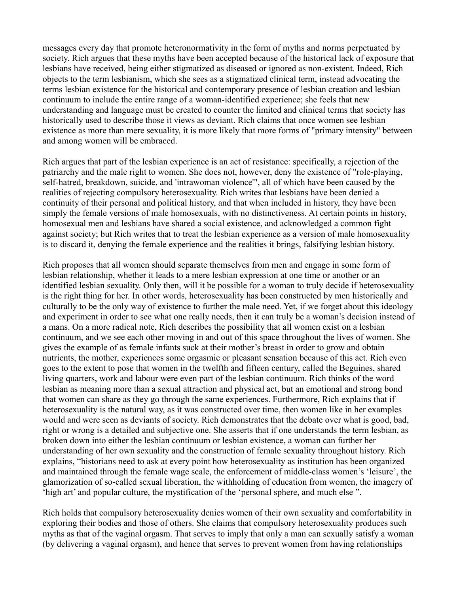messages every day that promote heteronormativity in the form of myths and norms perpetuated by society. Rich argues that these myths have been accepted because of the historical lack of exposure that lesbians have received, being either stigmatized as diseased or ignored as non-existent. Indeed, Rich objects to the term lesbianism, which she sees as a stigmatized clinical term, instead advocating the terms lesbian existence for the historical and contemporary presence of lesbian creation and lesbian continuum to include the entire range of a woman-identified experience; she feels that new understanding and language must be created to counter the limited and clinical terms that society has historically used to describe those it views as deviant. Rich claims that once women see lesbian existence as more than mere sexuality, it is more likely that more forms of "primary intensity" between and among women will be embraced.

Rich argues that part of the lesbian experience is an act of resistance: specifically, a rejection of the patriarchy and the male right to women. She does not, however, deny the existence of "role-playing, self-hatred, breakdown, suicide, and 'intrawoman violence'", all of which have been caused by the realities of rejecting compulsory heterosexuality. Rich writes that lesbians have been denied a continuity of their personal and political history, and that when included in history, they have been simply the female versions of male homosexuals, with no distinctiveness. At certain points in history, homosexual men and lesbians have shared a social existence, and acknowledged a common fight against society; but Rich writes that to treat the lesbian experience as a version of male homosexuality is to discard it, denying the female experience and the realities it brings, falsifying lesbian history.

Rich proposes that all women should separate themselves from men and engage in some form of lesbian relationship, whether it leads to a mere lesbian expression at one time or another or an identified lesbian sexuality. Only then, will it be possible for a woman to truly decide if heterosexuality is the right thing for her. In other words, heterosexuality has been constructed by men historically and culturally to be the only way of existence to further the male need. Yet, if we forget about this ideology and experiment in order to see what one really needs, then it can truly be a woman's decision instead of a mans. On a more radical note, Rich describes the possibility that all women exist on a lesbian continuum, and we see each other moving in and out of this space throughout the lives of women. She gives the example of as female infants suck at their mother's breast in order to grow and obtain nutrients, the mother, experiences some orgasmic or pleasant sensation because of this act. Rich even goes to the extent to pose that women in the twelfth and fifteen century, called the Beguines, shared living quarters, work and labour were even part of the lesbian continuum. Rich thinks of the word lesbian as meaning more than a sexual attraction and physical act, but an emotional and strong bond that women can share as they go through the same experiences. Furthermore, Rich explains that if heterosexuality is the natural way, as it was constructed over time, then women like in her examples would and were seen as deviants of society. Rich demonstrates that the debate over what is good, bad, right or wrong is a detailed and subjective one. She asserts that if one understands the term lesbian, as broken down into either the lesbian continuum or lesbian existence, a woman can further her understanding of her own sexuality and the construction of female sexuality throughout history. Rich explains, "historians need to ask at every point how heterosexuality as institution has been organized and maintained through the female wage scale, the enforcement of middle-class women's 'leisure', the glamorization of so-called sexual liberation, the withholding of education from women, the imagery of 'high art' and popular culture, the mystification of the 'personal sphere, and much else ".

Rich holds that compulsory heterosexuality denies women of their own sexuality and comfortability in exploring their bodies and those of others. She claims that compulsory heterosexuality produces such myths as that of the vaginal orgasm. That serves to imply that only a man can sexually satisfy a woman (by delivering a vaginal orgasm), and hence that serves to prevent women from having relationships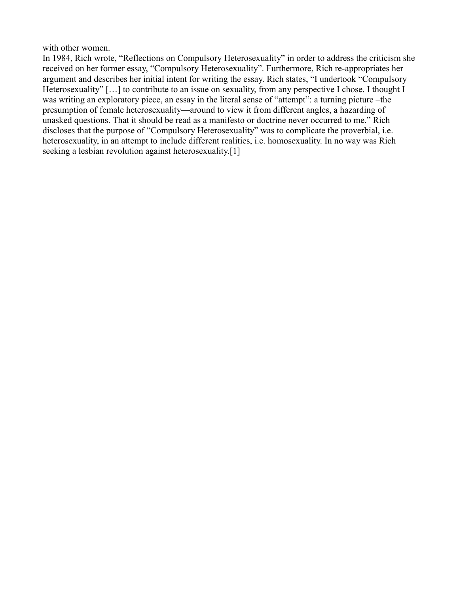with other women.

In 1984, Rich wrote, "Reflections on Compulsory Heterosexuality" in order to address the criticism she received on her former essay, "Compulsory Heterosexuality". Furthermore, Rich re-appropriates her argument and describes her initial intent for writing the essay. Rich states, "I undertook "Compulsory Heterosexuality" […] to contribute to an issue on sexuality, from any perspective I chose. I thought I was writing an exploratory piece, an essay in the literal sense of "attempt": a turning picture –the presumption of female heterosexuality—around to view it from different angles, a hazarding of unasked questions. That it should be read as a manifesto or doctrine never occurred to me." Rich discloses that the purpose of "Compulsory Heterosexuality" was to complicate the proverbial, i.e. heterosexuality, in an attempt to include different realities, i.e. homosexuality. In no way was Rich seeking a lesbian revolution against heterosexuality.<sup>[1]</sup>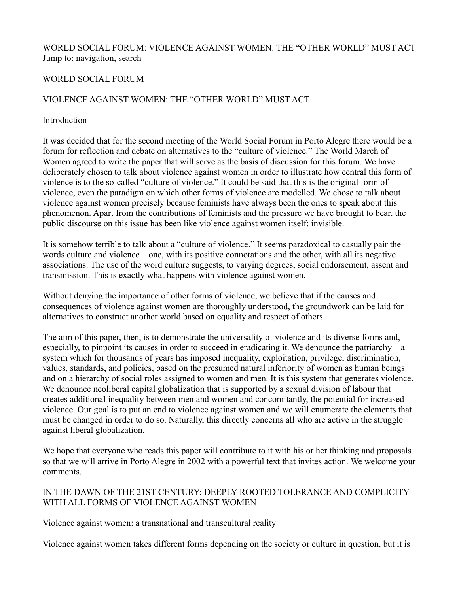# WORLD SOCIAL FORUM: VIOLENCE AGAINST WOMEN: THE "OTHER WORLD" MUST ACT Jump to: navigation, search

# WORLD SOCIAL FORUM

# VIOLENCE AGAINST WOMEN: THE "OTHER WORLD" MUST ACT

#### Introduction

It was decided that for the second meeting of the World Social Forum in Porto Alegre there would be a forum for reflection and debate on alternatives to the "culture of violence." The World March of Women agreed to write the paper that will serve as the basis of discussion for this forum. We have deliberately chosen to talk about violence against women in order to illustrate how central this form of violence is to the so-called "culture of violence." It could be said that this is the original form of violence, even the paradigm on which other forms of violence are modelled. We chose to talk about violence against women precisely because feminists have always been the ones to speak about this phenomenon. Apart from the contributions of feminists and the pressure we have brought to bear, the public discourse on this issue has been like violence against women itself: invisible.

It is somehow terrible to talk about a "culture of violence." It seems paradoxical to casually pair the words culture and violence—one, with its positive connotations and the other, with all its negative associations. The use of the word culture suggests, to varying degrees, social endorsement, assent and transmission. This is exactly what happens with violence against women.

Without denying the importance of other forms of violence, we believe that if the causes and consequences of violence against women are thoroughly understood, the groundwork can be laid for alternatives to construct another world based on equality and respect of others.

The aim of this paper, then, is to demonstrate the universality of violence and its diverse forms and, especially, to pinpoint its causes in order to succeed in eradicating it. We denounce the patriarchy—a system which for thousands of years has imposed inequality, exploitation, privilege, discrimination, values, standards, and policies, based on the presumed natural inferiority of women as human beings and on a hierarchy of social roles assigned to women and men. It is this system that generates violence. We denounce neoliberal capital globalization that is supported by a sexual division of labour that creates additional inequality between men and women and concomitantly, the potential for increased violence. Our goal is to put an end to violence against women and we will enumerate the elements that must be changed in order to do so. Naturally, this directly concerns all who are active in the struggle against liberal globalization.

We hope that everyone who reads this paper will contribute to it with his or her thinking and proposals so that we will arrive in Porto Alegre in 2002 with a powerful text that invites action. We welcome your comments.

# IN THE DAWN OF THE 21ST CENTURY: DEEPLY ROOTED TOLERANCE AND COMPLICITY WITH ALL FORMS OF VIOLENCE AGAINST WOMEN

Violence against women: a transnational and transcultural reality

Violence against women takes different forms depending on the society or culture in question, but it is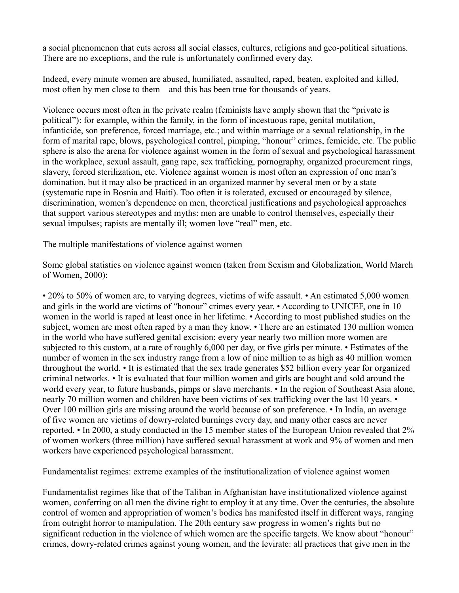a social phenomenon that cuts across all social classes, cultures, religions and geo-political situations. There are no exceptions, and the rule is unfortunately confirmed every day.

Indeed, every minute women are abused, humiliated, assaulted, raped, beaten, exploited and killed, most often by men close to them—and this has been true for thousands of years.

Violence occurs most often in the private realm (feminists have amply shown that the "private is political"): for example, within the family, in the form of incestuous rape, genital mutilation, infanticide, son preference, forced marriage, etc.; and within marriage or a sexual relationship, in the form of marital rape, blows, psychological control, pimping, "honour" crimes, femicide, etc. The public sphere is also the arena for violence against women in the form of sexual and psychological harassment in the workplace, sexual assault, gang rape, sex trafficking, pornography, organized procurement rings, slavery, forced sterilization, etc. Violence against women is most often an expression of one man's domination, but it may also be practiced in an organized manner by several men or by a state (systematic rape in Bosnia and Haiti). Too often it is tolerated, excused or encouraged by silence, discrimination, women's dependence on men, theoretical justifications and psychological approaches that support various stereotypes and myths: men are unable to control themselves, especially their sexual impulses; rapists are mentally ill; women love "real" men, etc.

The multiple manifestations of violence against women

Some global statistics on violence against women (taken from Sexism and Globalization, World March of Women, 2000):

• 20% to 50% of women are, to varying degrees, victims of wife assault. • An estimated 5,000 women and girls in the world are victims of "honour" crimes every year. • According to UNICEF, one in 10 women in the world is raped at least once in her lifetime. • According to most published studies on the subject, women are most often raped by a man they know. • There are an estimated 130 million women in the world who have suffered genital excision; every year nearly two million more women are subjected to this custom, at a rate of roughly 6,000 per day, or five girls per minute. • Estimates of the number of women in the sex industry range from a low of nine million to as high as 40 million women throughout the world. • It is estimated that the sex trade generates \$52 billion every year for organized criminal networks. • It is evaluated that four million women and girls are bought and sold around the world every year, to future husbands, pimps or slave merchants. • In the region of Southeast Asia alone, nearly 70 million women and children have been victims of sex trafficking over the last 10 years. • Over 100 million girls are missing around the world because of son preference. • In India, an average of five women are victims of dowry-related burnings every day, and many other cases are never reported. • In 2000, a study conducted in the 15 member states of the European Union revealed that 2% of women workers (three million) have suffered sexual harassment at work and 9% of women and men workers have experienced psychological harassment.

Fundamentalist regimes: extreme examples of the institutionalization of violence against women

Fundamentalist regimes like that of the Taliban in Afghanistan have institutionalized violence against women, conferring on all men the divine right to employ it at any time. Over the centuries, the absolute control of women and appropriation of women's bodies has manifested itself in different ways, ranging from outright horror to manipulation. The 20th century saw progress in women's rights but no significant reduction in the violence of which women are the specific targets. We know about "honour" crimes, dowry-related crimes against young women, and the levirate: all practices that give men in the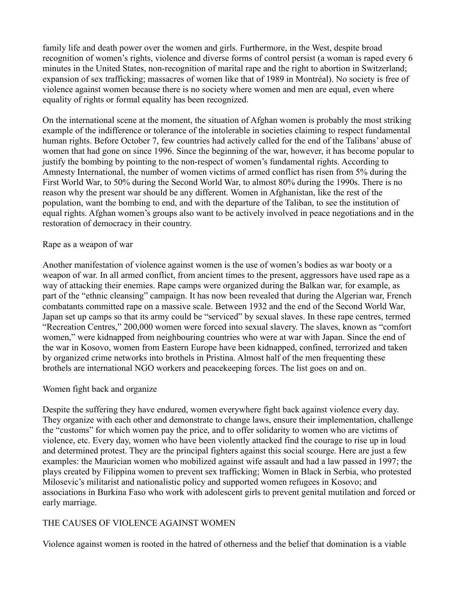family life and death power over the women and girls. Furthermore, in the West, despite broad recognition of women's rights, violence and diverse forms of control persist (a woman is raped every 6 minutes in the United States, non-recognition of marital rape and the right to abortion in Switzerland; expansion of sex trafficking; massacres of women like that of 1989 in Montréal). No society is free of violence against women because there is no society where women and men are equal, even where equality of rights or formal equality has been recognized.

On the international scene at the moment, the situation of Afghan women is probably the most striking example of the indifference or tolerance of the intolerable in societies claiming to respect fundamental human rights. Before October 7, few countries had actively called for the end of the Talibans' abuse of women that had gone on since 1996. Since the beginning of the war, however, it has become popular to justify the bombing by pointing to the non-respect of women's fundamental rights. According to Amnesty International, the number of women victims of armed conflict has risen from 5% during the First World War, to 50% during the Second World War, to almost 80% during the 1990s. There is no reason why the present war should be any different. Women in Afghanistan, like the rest of the population, want the bombing to end, and with the departure of the Taliban, to see the institution of equal rights. Afghan women's groups also want to be actively involved in peace negotiations and in the restoration of democracy in their country.

#### Rape as a weapon of war

Another manifestation of violence against women is the use of women's bodies as war booty or a weapon of war. In all armed conflict, from ancient times to the present, aggressors have used rape as a way of attacking their enemies. Rape camps were organized during the Balkan war, for example, as part of the "ethnic cleansing" campaign. It has now been revealed that during the Algerian war, French combatants committed rape on a massive scale. Between 1932 and the end of the Second World War, Japan set up camps so that its army could be "serviced" by sexual slaves. In these rape centres, termed "Recreation Centres," 200,000 women were forced into sexual slavery. The slaves, known as "comfort women," were kidnapped from neighbouring countries who were at war with Japan. Since the end of the war in Kosovo, women from Eastern Europe have been kidnapped, confined, terrorized and taken by organized crime networks into brothels in Pristina. Almost half of the men frequenting these brothels are international NGO workers and peacekeeping forces. The list goes on and on.

#### Women fight back and organize

Despite the suffering they have endured, women everywhere fight back against violence every day. They organize with each other and demonstrate to change laws, ensure their implementation, challenge the "customs" for which women pay the price, and to offer solidarity to women who are victims of violence, etc. Every day, women who have been violently attacked find the courage to rise up in loud and determined protest. They are the principal fighters against this social scourge. Here are just a few examples: the Maurician women who mobilized against wife assault and had a law passed in 1997; the plays created by Filippina women to prevent sex trafficking; Women in Black in Serbia, who protested Milosevic's militarist and nationalistic policy and supported women refugees in Kosovo; and associations in Burkina Faso who work with adolescent girls to prevent genital mutilation and forced or early marriage.

# THE CAUSES OF VIOLENCE AGAINST WOMEN

Violence against women is rooted in the hatred of otherness and the belief that domination is a viable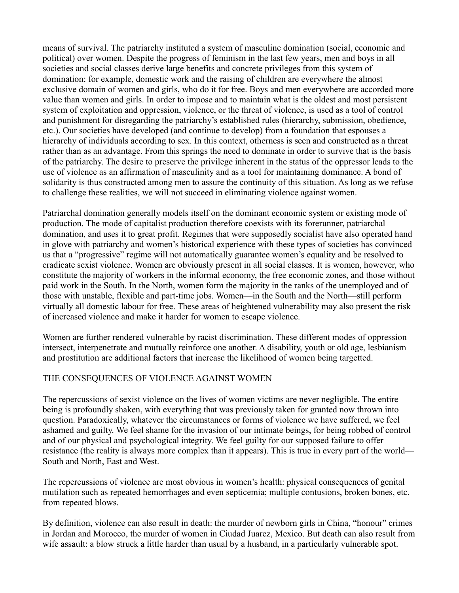means of survival. The patriarchy instituted a system of masculine domination (social, economic and political) over women. Despite the progress of feminism in the last few years, men and boys in all societies and social classes derive large benefits and concrete privileges from this system of domination: for example, domestic work and the raising of children are everywhere the almost exclusive domain of women and girls, who do it for free. Boys and men everywhere are accorded more value than women and girls. In order to impose and to maintain what is the oldest and most persistent system of exploitation and oppression, violence, or the threat of violence, is used as a tool of control and punishment for disregarding the patriarchy's established rules (hierarchy, submission, obedience, etc.). Our societies have developed (and continue to develop) from a foundation that espouses a hierarchy of individuals according to sex. In this context, otherness is seen and constructed as a threat rather than as an advantage. From this springs the need to dominate in order to survive that is the basis of the patriarchy. The desire to preserve the privilege inherent in the status of the oppressor leads to the use of violence as an affirmation of masculinity and as a tool for maintaining dominance. A bond of solidarity is thus constructed among men to assure the continuity of this situation. As long as we refuse to challenge these realities, we will not succeed in eliminating violence against women.

Patriarchal domination generally models itself on the dominant economic system or existing mode of production. The mode of capitalist production therefore coexists with its forerunner, patriarchal domination, and uses it to great profit. Regimes that were supposedly socialist have also operated hand in glove with patriarchy and women's historical experience with these types of societies has convinced us that a "progressive" regime will not automatically guarantee women's equality and be resolved to eradicate sexist violence. Women are obviously present in all social classes. It is women, however, who constitute the majority of workers in the informal economy, the free economic zones, and those without paid work in the South. In the North, women form the majority in the ranks of the unemployed and of those with unstable, flexible and part-time jobs. Women—in the South and the North—still perform virtually all domestic labour for free. These areas of heightened vulnerability may also present the risk of increased violence and make it harder for women to escape violence.

Women are further rendered vulnerable by racist discrimination. These different modes of oppression intersect, interpenetrate and mutually reinforce one another. A disability, youth or old age, lesbianism and prostitution are additional factors that increase the likelihood of women being targetted.

#### THE CONSEQUENCES OF VIOLENCE AGAINST WOMEN

The repercussions of sexist violence on the lives of women victims are never negligible. The entire being is profoundly shaken, with everything that was previously taken for granted now thrown into question. Paradoxically, whatever the circumstances or forms of violence we have suffered, we feel ashamed and guilty. We feel shame for the invasion of our intimate beings, for being robbed of control and of our physical and psychological integrity. We feel guilty for our supposed failure to offer resistance (the reality is always more complex than it appears). This is true in every part of the world— South and North, East and West.

The repercussions of violence are most obvious in women's health: physical consequences of genital mutilation such as repeated hemorrhages and even septicemia; multiple contusions, broken bones, etc. from repeated blows.

By definition, violence can also result in death: the murder of newborn girls in China, "honour" crimes in Jordan and Morocco, the murder of women in Ciudad Juarez, Mexico. But death can also result from wife assault: a blow struck a little harder than usual by a husband, in a particularly vulnerable spot.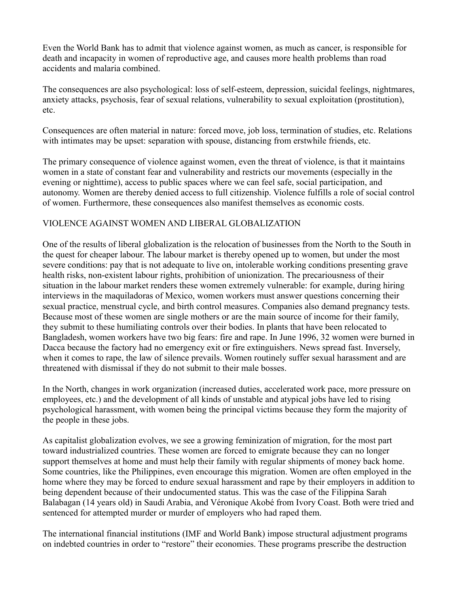Even the World Bank has to admit that violence against women, as much as cancer, is responsible for death and incapacity in women of reproductive age, and causes more health problems than road accidents and malaria combined.

The consequences are also psychological: loss of self-esteem, depression, suicidal feelings, nightmares, anxiety attacks, psychosis, fear of sexual relations, vulnerability to sexual exploitation (prostitution), etc.

Consequences are often material in nature: forced move, job loss, termination of studies, etc. Relations with intimates may be upset: separation with spouse, distancing from erstwhile friends, etc.

The primary consequence of violence against women, even the threat of violence, is that it maintains women in a state of constant fear and vulnerability and restricts our movements (especially in the evening or nighttime), access to public spaces where we can feel safe, social participation, and autonomy. Women are thereby denied access to full citizenship. Violence fulfills a role of social control of women. Furthermore, these consequences also manifest themselves as economic costs.

# VIOLENCE AGAINST WOMEN AND LIBERAL GLOBALIZATION

One of the results of liberal globalization is the relocation of businesses from the North to the South in the quest for cheaper labour. The labour market is thereby opened up to women, but under the most severe conditions: pay that is not adequate to live on, intolerable working conditions presenting grave health risks, non-existent labour rights, prohibition of unionization. The precariousness of their situation in the labour market renders these women extremely vulnerable: for example, during hiring interviews in the maquiladoras of Mexico, women workers must answer questions concerning their sexual practice, menstrual cycle, and birth control measures. Companies also demand pregnancy tests. Because most of these women are single mothers or are the main source of income for their family, they submit to these humiliating controls over their bodies. In plants that have been relocated to Bangladesh, women workers have two big fears: fire and rape. In June 1996, 32 women were burned in Dacca because the factory had no emergency exit or fire extinguishers. News spread fast. Inversely, when it comes to rape, the law of silence prevails. Women routinely suffer sexual harassment and are threatened with dismissal if they do not submit to their male bosses.

In the North, changes in work organization (increased duties, accelerated work pace, more pressure on employees, etc.) and the development of all kinds of unstable and atypical jobs have led to rising psychological harassment, with women being the principal victims because they form the majority of the people in these jobs.

As capitalist globalization evolves, we see a growing feminization of migration, for the most part toward industrialized countries. These women are forced to emigrate because they can no longer support themselves at home and must help their family with regular shipments of money back home. Some countries, like the Philippines, even encourage this migration. Women are often employed in the home where they may be forced to endure sexual harassment and rape by their employers in addition to being dependent because of their undocumented status. This was the case of the Filippina Sarah Balabagan (14 years old) in Saudi Arabia, and Véronique Akobé from Ivory Coast. Both were tried and sentenced for attempted murder or murder of employers who had raped them.

The international financial institutions (IMF and World Bank) impose structural adjustment programs on indebted countries in order to "restore" their economies. These programs prescribe the destruction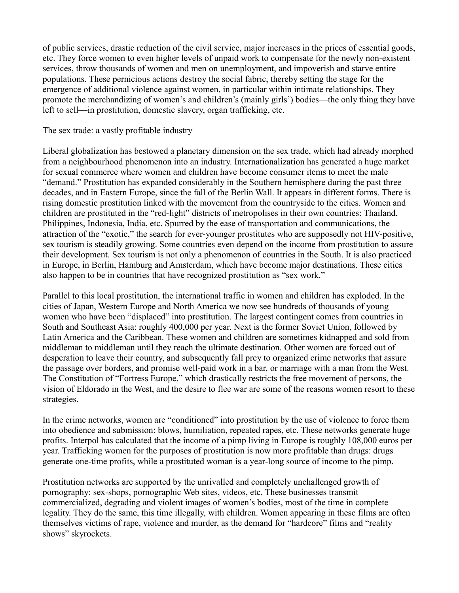of public services, drastic reduction of the civil service, major increases in the prices of essential goods, etc. They force women to even higher levels of unpaid work to compensate for the newly non-existent services, throw thousands of women and men on unemployment, and impoverish and starve entire populations. These pernicious actions destroy the social fabric, thereby setting the stage for the emergence of additional violence against women, in particular within intimate relationships. They promote the merchandizing of women's and children's (mainly girls') bodies—the only thing they have left to sell—in prostitution, domestic slavery, organ trafficking, etc.

#### The sex trade: a vastly profitable industry

Liberal globalization has bestowed a planetary dimension on the sex trade, which had already morphed from a neighbourhood phenomenon into an industry. Internationalization has generated a huge market for sexual commerce where women and children have become consumer items to meet the male "demand." Prostitution has expanded considerably in the Southern hemisphere during the past three decades, and in Eastern Europe, since the fall of the Berlin Wall. It appears in different forms. There is rising domestic prostitution linked with the movement from the countryside to the cities. Women and children are prostituted in the "red-light" districts of metropolises in their own countries: Thailand, Philippines, Indonesia, India, etc. Spurred by the ease of transportation and communications, the attraction of the "exotic," the search for ever-younger prostitutes who are supposedly not HIV-positive, sex tourism is steadily growing. Some countries even depend on the income from prostitution to assure their development. Sex tourism is not only a phenomenon of countries in the South. It is also practiced in Europe, in Berlin, Hamburg and Amsterdam, which have become major destinations. These cities also happen to be in countries that have recognized prostitution as "sex work."

Parallel to this local prostitution, the international traffic in women and children has exploded. In the cities of Japan, Western Europe and North America we now see hundreds of thousands of young women who have been "displaced" into prostitution. The largest contingent comes from countries in South and Southeast Asia: roughly 400,000 per year. Next is the former Soviet Union, followed by Latin America and the Caribbean. These women and children are sometimes kidnapped and sold from middleman to middleman until they reach the ultimate destination. Other women are forced out of desperation to leave their country, and subsequently fall prey to organized crime networks that assure the passage over borders, and promise well-paid work in a bar, or marriage with a man from the West. The Constitution of "Fortress Europe," which drastically restricts the free movement of persons, the vision of Eldorado in the West, and the desire to flee war are some of the reasons women resort to these strategies.

In the crime networks, women are "conditioned" into prostitution by the use of violence to force them into obedience and submission: blows, humiliation, repeated rapes, etc. These networks generate huge profits. Interpol has calculated that the income of a pimp living in Europe is roughly 108,000 euros per year. Trafficking women for the purposes of prostitution is now more profitable than drugs: drugs generate one-time profits, while a prostituted woman is a year-long source of income to the pimp.

Prostitution networks are supported by the unrivalled and completely unchallenged growth of pornography: sex-shops, pornographic Web sites, videos, etc. These businesses transmit commercialized, degrading and violent images of women's bodies, most of the time in complete legality. They do the same, this time illegally, with children. Women appearing in these films are often themselves victims of rape, violence and murder, as the demand for "hardcore" films and "reality shows" skyrockets.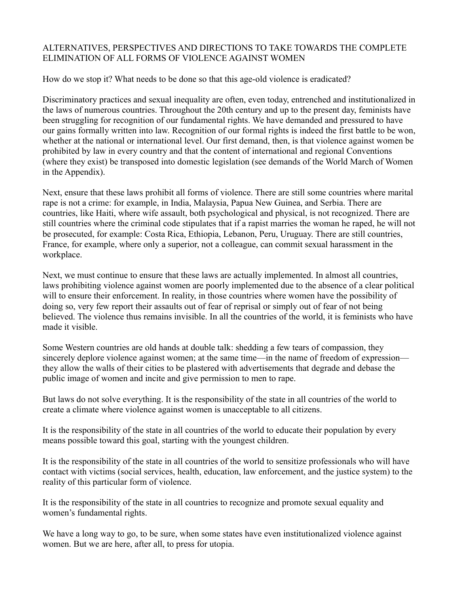# ALTERNATIVES, PERSPECTIVES AND DIRECTIONS TO TAKE TOWARDS THE COMPLETE ELIMINATION OF ALL FORMS OF VIOLENCE AGAINST WOMEN

How do we stop it? What needs to be done so that this age-old violence is eradicated?

Discriminatory practices and sexual inequality are often, even today, entrenched and institutionalized in the laws of numerous countries. Throughout the 20th century and up to the present day, feminists have been struggling for recognition of our fundamental rights. We have demanded and pressured to have our gains formally written into law. Recognition of our formal rights is indeed the first battle to be won, whether at the national or international level. Our first demand, then, is that violence against women be prohibited by law in every country and that the content of international and regional Conventions (where they exist) be transposed into domestic legislation (see demands of the World March of Women in the Appendix).

Next, ensure that these laws prohibit all forms of violence. There are still some countries where marital rape is not a crime: for example, in India, Malaysia, Papua New Guinea, and Serbia. There are countries, like Haiti, where wife assault, both psychological and physical, is not recognized. There are still countries where the criminal code stipulates that if a rapist marries the woman he raped, he will not be prosecuted, for example: Costa Rica, Ethiopia, Lebanon, Peru, Uruguay. There are still countries, France, for example, where only a superior, not a colleague, can commit sexual harassment in the workplace.

Next, we must continue to ensure that these laws are actually implemented. In almost all countries, laws prohibiting violence against women are poorly implemented due to the absence of a clear political will to ensure their enforcement. In reality, in those countries where women have the possibility of doing so, very few report their assaults out of fear of reprisal or simply out of fear of not being believed. The violence thus remains invisible. In all the countries of the world, it is feminists who have made it visible.

Some Western countries are old hands at double talk: shedding a few tears of compassion, they sincerely deplore violence against women; at the same time—in the name of freedom of expression they allow the walls of their cities to be plastered with advertisements that degrade and debase the public image of women and incite and give permission to men to rape.

But laws do not solve everything. It is the responsibility of the state in all countries of the world to create a climate where violence against women is unacceptable to all citizens.

It is the responsibility of the state in all countries of the world to educate their population by every means possible toward this goal, starting with the youngest children.

It is the responsibility of the state in all countries of the world to sensitize professionals who will have contact with victims (social services, health, education, law enforcement, and the justice system) to the reality of this particular form of violence.

It is the responsibility of the state in all countries to recognize and promote sexual equality and women's fundamental rights.

We have a long way to go, to be sure, when some states have even institutionalized violence against women. But we are here, after all, to press for utopia.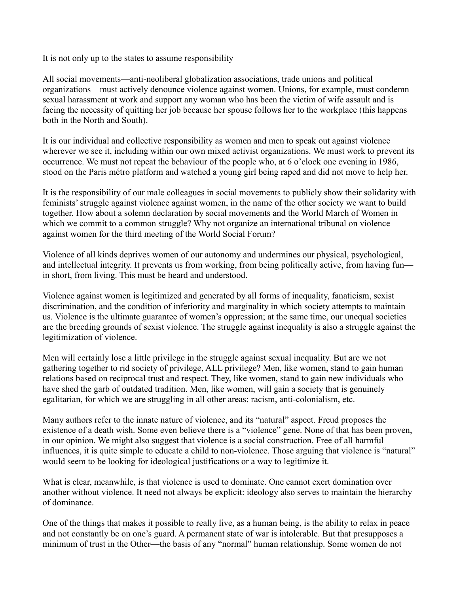It is not only up to the states to assume responsibility

All social movements—anti-neoliberal globalization associations, trade unions and political organizations—must actively denounce violence against women. Unions, for example, must condemn sexual harassment at work and support any woman who has been the victim of wife assault and is facing the necessity of quitting her job because her spouse follows her to the workplace (this happens both in the North and South).

It is our individual and collective responsibility as women and men to speak out against violence wherever we see it, including within our own mixed activist organizations. We must work to prevent its occurrence. We must not repeat the behaviour of the people who, at 6 o'clock one evening in 1986, stood on the Paris métro platform and watched a young girl being raped and did not move to help her.

It is the responsibility of our male colleagues in social movements to publicly show their solidarity with feminists' struggle against violence against women, in the name of the other society we want to build together. How about a solemn declaration by social movements and the World March of Women in which we commit to a common struggle? Why not organize an international tribunal on violence against women for the third meeting of the World Social Forum?

Violence of all kinds deprives women of our autonomy and undermines our physical, psychological, and intellectual integrity. It prevents us from working, from being politically active, from having fun in short, from living. This must be heard and understood.

Violence against women is legitimized and generated by all forms of inequality, fanaticism, sexist discrimination, and the condition of inferiority and marginality in which society attempts to maintain us. Violence is the ultimate guarantee of women's oppression; at the same time, our unequal societies are the breeding grounds of sexist violence. The struggle against inequality is also a struggle against the legitimization of violence.

Men will certainly lose a little privilege in the struggle against sexual inequality. But are we not gathering together to rid society of privilege, ALL privilege? Men, like women, stand to gain human relations based on reciprocal trust and respect. They, like women, stand to gain new individuals who have shed the garb of outdated tradition. Men, like women, will gain a society that is genuinely egalitarian, for which we are struggling in all other areas: racism, anti-colonialism, etc.

Many authors refer to the innate nature of violence, and its "natural" aspect. Freud proposes the existence of a death wish. Some even believe there is a "violence" gene. None of that has been proven, in our opinion. We might also suggest that violence is a social construction. Free of all harmful influences, it is quite simple to educate a child to non-violence. Those arguing that violence is "natural" would seem to be looking for ideological justifications or a way to legitimize it.

What is clear, meanwhile, is that violence is used to dominate. One cannot exert domination over another without violence. It need not always be explicit: ideology also serves to maintain the hierarchy of dominance.

One of the things that makes it possible to really live, as a human being, is the ability to relax in peace and not constantly be on one's guard. A permanent state of war is intolerable. But that presupposes a minimum of trust in the Other—the basis of any "normal" human relationship. Some women do not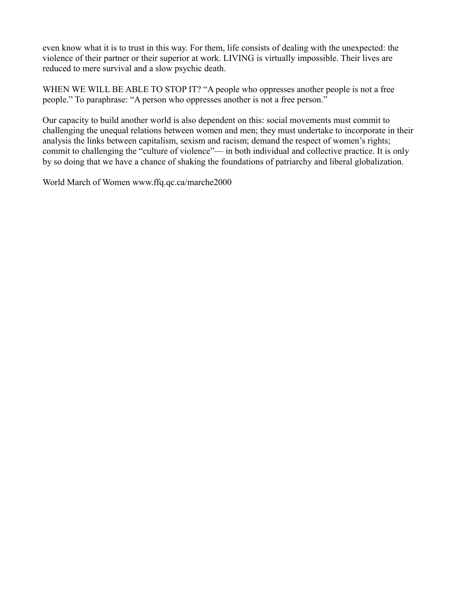even know what it is to trust in this way. For them, life consists of dealing with the unexpected: the violence of their partner or their superior at work. LIVING is virtually impossible. Their lives are reduced to mere survival and a slow psychic death.

WHEN WE WILL BE ABLE TO STOP IT? "A people who oppresses another people is not a free people." To paraphrase: "A person who oppresses another is not a free person."

Our capacity to build another world is also dependent on this: social movements must commit to challenging the unequal relations between women and men; they must undertake to incorporate in their analysis the links between capitalism, sexism and racism; demand the respect of women's rights; commit to challenging the "culture of violence"— in both individual and collective practice. It is only by so doing that we have a chance of shaking the foundations of patriarchy and liberal globalization.

World March of Women www.ffq.qc.ca/marche2000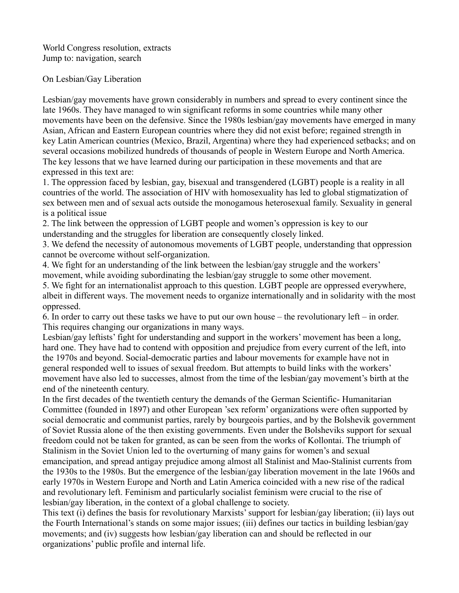World Congress resolution, extracts Jump to: navigation, search

### On Lesbian/Gay Liberation

Lesbian/gay movements have grown considerably in numbers and spread to every continent since the late 1960s. They have managed to win significant reforms in some countries while many other movements have been on the defensive. Since the 1980s lesbian/gay movements have emerged in many Asian, African and Eastern European countries where they did not exist before; regained strength in key Latin American countries (Mexico, Brazil, Argentina) where they had experienced setbacks; and on several occasions mobilized hundreds of thousands of people in Western Europe and North America. The key lessons that we have learned during our participation in these movements and that are expressed in this text are:

1. The oppression faced by lesbian, gay, bisexual and transgendered (LGBT) people is a reality in all countries of the world. The association of HIV with homosexuality has led to global stigmatization of sex between men and of sexual acts outside the monogamous heterosexual family. Sexuality in general is a political issue

2. The link between the oppression of LGBT people and women's oppression is key to our understanding and the struggles for liberation are consequently closely linked.

3. We defend the necessity of autonomous movements of LGBT people, understanding that oppression cannot be overcome without self-organization.

4. We fight for an understanding of the link between the lesbian/gay struggle and the workers' movement, while avoiding subordinating the lesbian/gay struggle to some other movement.

5. We fight for an internationalist approach to this question. LGBT people are oppressed everywhere, albeit in different ways. The movement needs to organize internationally and in solidarity with the most oppressed.

6. In order to carry out these tasks we have to put our own house – the revolutionary left – in order. This requires changing our organizations in many ways.

Lesbian/gay leftists' fight for understanding and support in the workers' movement has been a long, hard one. They have had to contend with opposition and prejudice from every current of the left, into the 1970s and beyond. Social-democratic parties and labour movements for example have not in general responded well to issues of sexual freedom. But attempts to build links with the workers' movement have also led to successes, almost from the time of the lesbian/gay movement's birth at the end of the nineteenth century.

In the first decades of the twentieth century the demands of the German Scientific- Humanitarian Committee (founded in 1897) and other European 'sex reform' organizations were often supported by social democratic and communist parties, rarely by bourgeois parties, and by the Bolshevik government of Soviet Russia alone of the then existing governments. Even under the Bolsheviks support for sexual freedom could not be taken for granted, as can be seen from the works of Kollontai. The triumph of Stalinism in the Soviet Union led to the overturning of many gains for women's and sexual emancipation, and spread antigay prejudice among almost all Stalinist and Mao-Stalinist currents from the 1930s to the 1980s. But the emergence of the lesbian/gay liberation movement in the late 1960s and early 1970s in Western Europe and North and Latin America coincided with a new rise of the radical and revolutionary left. Feminism and particularly socialist feminism were crucial to the rise of lesbian/gay liberation, in the context of a global challenge to society.

This text (i) defines the basis for revolutionary Marxists' support for lesbian/gay liberation; (ii) lays out the Fourth International's stands on some major issues; (iii) defines our tactics in building lesbian/gay movements; and (iv) suggests how lesbian/gay liberation can and should be reflected in our organizations' public profile and internal life.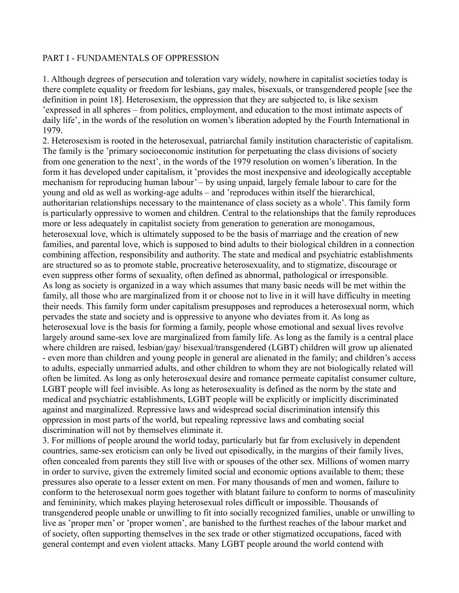# PART I - FUNDAMENTALS OF OPPRESSION

1. Although degrees of persecution and toleration vary widely, nowhere in capitalist societies today is there complete equality or freedom for lesbians, gay males, bisexuals, or transgendered people [see the definition in point 18]. Heterosexism, the oppression that they are subjected to, is like sexism 'expressed in all spheres – from politics, employment, and education to the most intimate aspects of daily life', in the words of the resolution on women's liberation adopted by the Fourth International in 1979.

2. Heterosexism is rooted in the heterosexual, patriarchal family institution characteristic of capitalism. The family is the 'primary socioeconomic institution for perpetuating the class divisions of society from one generation to the next', in the words of the 1979 resolution on women's liberation. In the form it has developed under capitalism, it 'provides the most inexpensive and ideologically acceptable mechanism for reproducing human labour' – by using unpaid, largely female labour to care for the young and old as well as working-age adults – and 'reproduces within itself the hierarchical, authoritarian relationships necessary to the maintenance of class society as a whole'. This family form is particularly oppressive to women and children. Central to the relationships that the family reproduces more or less adequately in capitalist society from generation to generation are monogamous, heterosexual love, which is ultimately supposed to be the basis of marriage and the creation of new families, and parental love, which is supposed to bind adults to their biological children in a connection combining affection, responsibility and authority. The state and medical and psychiatric establishments are structured so as to promote stable, procreative heterosexuality, and to stigmatize, discourage or even suppress other forms of sexuality, often defined as abnormal, pathological or irresponsible. As long as society is organized in a way which assumes that many basic needs will be met within the family, all those who are marginalized from it or choose not to live in it will have difficulty in meeting their needs. This family form under capitalism presupposes and reproduces a heterosexual norm, which pervades the state and society and is oppressive to anyone who deviates from it. As long as heterosexual love is the basis for forming a family, people whose emotional and sexual lives revolve largely around same-sex love are marginalized from family life. As long as the family is a central place where children are raised, lesbian/gay/ bisexual/transgendered (LGBT) children will grow up alienated - even more than children and young people in general are alienated in the family; and children's access to adults, especially unmarried adults, and other children to whom they are not biologically related will often be limited. As long as only heterosexual desire and romance permeate capitalist consumer culture, LGBT people will feel invisible. As long as heterosexuality is defined as the norm by the state and medical and psychiatric establishments, LGBT people will be explicitly or implicitly discriminated against and marginalized. Repressive laws and widespread social discrimination intensify this oppression in most parts of the world, but repealing repressive laws and combating social discrimination will not by themselves eliminate it.

3. For millions of people around the world today, particularly but far from exclusively in dependent countries, same-sex eroticism can only be lived out episodically, in the margins of their family lives, often concealed from parents they still live with or spouses of the other sex. Millions of women marry in order to survive, given the extremely limited social and economic options available to them; these pressures also operate to a lesser extent on men. For many thousands of men and women, failure to conform to the heterosexual norm goes together with blatant failure to conform to norms of masculinity and femininity, which makes playing heterosexual roles difficult or impossible. Thousands of transgendered people unable or unwilling to fit into socially recognized families, unable or unwilling to live as 'proper men' or 'proper women', are banished to the furthest reaches of the labour market and of society, often supporting themselves in the sex trade or other stigmatized occupations, faced with general contempt and even violent attacks. Many LGBT people around the world contend with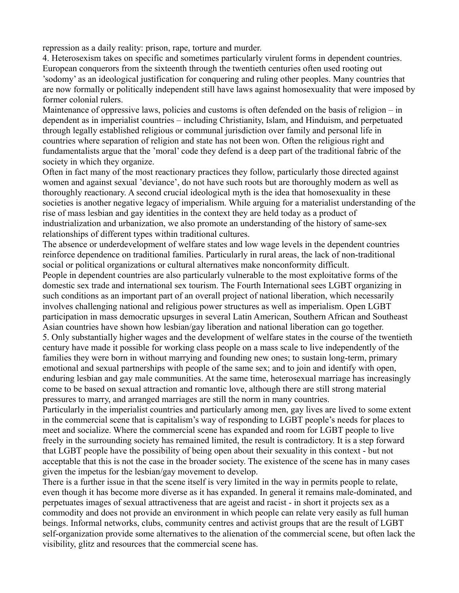repression as a daily reality: prison, rape, torture and murder.

4. Heterosexism takes on specific and sometimes particularly virulent forms in dependent countries. European conquerors from the sixteenth through the twentieth centuries often used rooting out 'sodomy' as an ideological justification for conquering and ruling other peoples. Many countries that are now formally or politically independent still have laws against homosexuality that were imposed by former colonial rulers.

Maintenance of oppressive laws, policies and customs is often defended on the basis of religion – in dependent as in imperialist countries – including Christianity, Islam, and Hinduism, and perpetuated through legally established religious or communal jurisdiction over family and personal life in countries where separation of religion and state has not been won. Often the religious right and fundamentalists argue that the 'moral' code they defend is a deep part of the traditional fabric of the society in which they organize.

Often in fact many of the most reactionary practices they follow, particularly those directed against women and against sexual 'deviance', do not have such roots but are thoroughly modern as well as thoroughly reactionary. A second crucial ideological myth is the idea that homosexuality in these societies is another negative legacy of imperialism. While arguing for a materialist understanding of the rise of mass lesbian and gay identities in the context they are held today as a product of industrialization and urbanization, we also promote an understanding of the history of same-sex relationships of different types within traditional cultures.

The absence or underdevelopment of welfare states and low wage levels in the dependent countries reinforce dependence on traditional families. Particularly in rural areas, the lack of non-traditional social or political organizations or cultural alternatives make nonconformity difficult.

People in dependent countries are also particularly vulnerable to the most exploitative forms of the domestic sex trade and international sex tourism. The Fourth International sees LGBT organizing in such conditions as an important part of an overall project of national liberation, which necessarily involves challenging national and religious power structures as well as imperialism. Open LGBT participation in mass democratic upsurges in several Latin American, Southern African and Southeast Asian countries have shown how lesbian/gay liberation and national liberation can go together.

5. Only substantially higher wages and the development of welfare states in the course of the twentieth century have made it possible for working class people on a mass scale to live independently of the families they were born in without marrying and founding new ones; to sustain long-term, primary emotional and sexual partnerships with people of the same sex; and to join and identify with open, enduring lesbian and gay male communities. At the same time, heterosexual marriage has increasingly come to be based on sexual attraction and romantic love, although there are still strong material pressures to marry, and arranged marriages are still the norm in many countries.

Particularly in the imperialist countries and particularly among men, gay lives are lived to some extent in the commercial scene that is capitalism's way of responding to LGBT people's needs for places to meet and socialize. Where the commercial scene has expanded and room for LGBT people to live freely in the surrounding society has remained limited, the result is contradictory. It is a step forward that LGBT people have the possibility of being open about their sexuality in this context - but not acceptable that this is not the case in the broader society. The existence of the scene has in many cases given the impetus for the lesbian/gay movement to develop.

There is a further issue in that the scene itself is very limited in the way in permits people to relate, even though it has become more diverse as it has expanded. In general it remains male-dominated, and perpetuates images of sexual attractiveness that are ageist and racist - in short it projects sex as a commodity and does not provide an environment in which people can relate very easily as full human beings. Informal networks, clubs, community centres and activist groups that are the result of LGBT self-organization provide some alternatives to the alienation of the commercial scene, but often lack the visibility, glitz and resources that the commercial scene has.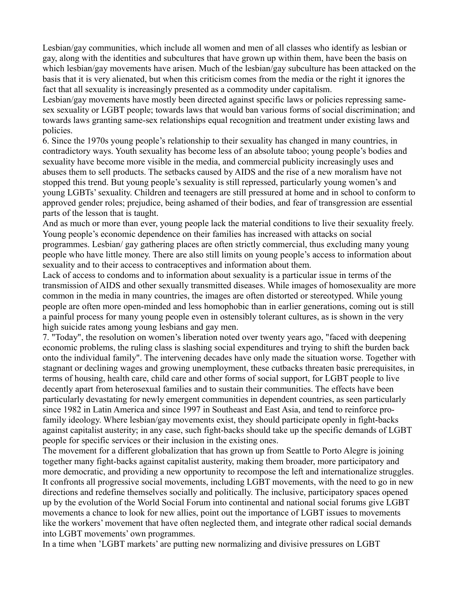Lesbian/gay communities, which include all women and men of all classes who identify as lesbian or gay, along with the identities and subcultures that have grown up within them, have been the basis on which lesbian/gay movements have arisen. Much of the lesbian/gay subculture has been attacked on the basis that it is very alienated, but when this criticism comes from the media or the right it ignores the fact that all sexuality is increasingly presented as a commodity under capitalism.

Lesbian/gay movements have mostly been directed against specific laws or policies repressing samesex sexuality or LGBT people; towards laws that would ban various forms of social discrimination; and towards laws granting same-sex relationships equal recognition and treatment under existing laws and policies.

6. Since the 1970s young people's relationship to their sexuality has changed in many countries, in contradictory ways. Youth sexuality has become less of an absolute taboo; young people's bodies and sexuality have become more visible in the media, and commercial publicity increasingly uses and abuses them to sell products. The setbacks caused by AIDS and the rise of a new moralism have not stopped this trend. But young people's sexuality is still repressed, particularly young women's and young LGBTs' sexuality. Children and teenagers are still pressured at home and in school to conform to approved gender roles; prejudice, being ashamed of their bodies, and fear of transgression are essential parts of the lesson that is taught.

And as much or more than ever, young people lack the material conditions to live their sexuality freely. Young people's economic dependence on their families has increased with attacks on social programmes. Lesbian/ gay gathering places are often strictly commercial, thus excluding many young people who have little money. There are also still limits on young people's access to information about sexuality and to their access to contraceptives and information about them.

Lack of access to condoms and to information about sexuality is a particular issue in terms of the transmission of AIDS and other sexually transmitted diseases. While images of homosexuality are more common in the media in many countries, the images are often distorted or stereotyped. While young people are often more open-minded and less homophobic than in earlier generations, coming out is still a painful process for many young people even in ostensibly tolerant cultures, as is shown in the very high suicide rates among young lesbians and gay men.

7. "Today", the resolution on women's liberation noted over twenty years ago, "faced with deepening economic problems, the ruling class is slashing social expenditures and trying to shift the burden back onto the individual family". The intervening decades have only made the situation worse. Together with stagnant or declining wages and growing unemployment, these cutbacks threaten basic prerequisites, in terms of housing, health care, child care and other forms of social support, for LGBT people to live decently apart from heterosexual families and to sustain their communities. The effects have been particularly devastating for newly emergent communities in dependent countries, as seen particularly since 1982 in Latin America and since 1997 in Southeast and East Asia, and tend to reinforce profamily ideology. Where lesbian/gay movements exist, they should participate openly in fight-backs against capitalist austerity; in any case, such fight-backs should take up the specific demands of LGBT people for specific services or their inclusion in the existing ones.

The movement for a different globalization that has grown up from Seattle to Porto Alegre is joining together many fight-backs against capitalist austerity, making them broader, more participatory and more democratic, and providing a new opportunity to recompose the left and internationalize struggles. It confronts all progressive social movements, including LGBT movements, with the need to go in new directions and redefine themselves socially and politically. The inclusive, participatory spaces opened up by the evolution of the World Social Forum into continental and national social forums give LGBT movements a chance to look for new allies, point out the importance of LGBT issues to movements like the workers' movement that have often neglected them, and integrate other radical social demands into LGBT movements' own programmes.

In a time when 'LGBT markets' are putting new normalizing and divisive pressures on LGBT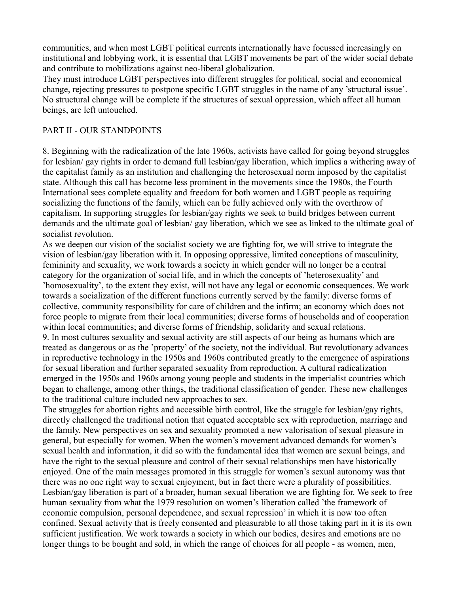communities, and when most LGBT political currents internationally have focussed increasingly on institutional and lobbying work, it is essential that LGBT movements be part of the wider social debate and contribute to mobilizations against neo-liberal globalization.

They must introduce LGBT perspectives into different struggles for political, social and economical change, rejecting pressures to postpone specific LGBT struggles in the name of any 'structural issue'. No structural change will be complete if the structures of sexual oppression, which affect all human beings, are left untouched.

# PART II - OUR STANDPOINTS

8. Beginning with the radicalization of the late 1960s, activists have called for going beyond struggles for lesbian/ gay rights in order to demand full lesbian/gay liberation, which implies a withering away of the capitalist family as an institution and challenging the heterosexual norm imposed by the capitalist state. Although this call has become less prominent in the movements since the 1980s, the Fourth International sees complete equality and freedom for both women and LGBT people as requiring socializing the functions of the family, which can be fully achieved only with the overthrow of capitalism. In supporting struggles for lesbian/gay rights we seek to build bridges between current demands and the ultimate goal of lesbian/ gay liberation, which we see as linked to the ultimate goal of socialist revolution.

As we deepen our vision of the socialist society we are fighting for, we will strive to integrate the vision of lesbian/gay liberation with it. In opposing oppressive, limited conceptions of masculinity, femininity and sexuality, we work towards a society in which gender will no longer be a central category for the organization of social life, and in which the concepts of 'heterosexuality' and 'homosexuality', to the extent they exist, will not have any legal or economic consequences. We work towards a socialization of the different functions currently served by the family: diverse forms of collective, community responsibility for care of children and the infirm; an economy which does not force people to migrate from their local communities; diverse forms of households and of cooperation within local communities; and diverse forms of friendship, solidarity and sexual relations. 9. In most cultures sexuality and sexual activity are still aspects of our being as humans which are treated as dangerous or as the 'property' of the society, not the individual. But revolutionary advances in reproductive technology in the 1950s and 1960s contributed greatly to the emergence of aspirations for sexual liberation and further separated sexuality from reproduction. A cultural radicalization emerged in the 1950s and 1960s among young people and students in the imperialist countries which began to challenge, among other things, the traditional classification of gender. These new challenges to the traditional culture included new approaches to sex.

The struggles for abortion rights and accessible birth control, like the struggle for lesbian/gay rights, directly challenged the traditional notion that equated acceptable sex with reproduction, marriage and the family. New perspectives on sex and sexuality promoted a new valorisation of sexual pleasure in general, but especially for women. When the women's movement advanced demands for women's sexual health and information, it did so with the fundamental idea that women are sexual beings, and have the right to the sexual pleasure and control of their sexual relationships men have historically enjoyed. One of the main messages promoted in this struggle for women's sexual autonomy was that there was no one right way to sexual enjoyment, but in fact there were a plurality of possibilities. Lesbian/gay liberation is part of a broader, human sexual liberation we are fighting for. We seek to free human sexuality from what the 1979 resolution on women's liberation called 'the framework of economic compulsion, personal dependence, and sexual repression' in which it is now too often confined. Sexual activity that is freely consented and pleasurable to all those taking part in it is its own sufficient justification. We work towards a society in which our bodies, desires and emotions are no longer things to be bought and sold, in which the range of choices for all people - as women, men,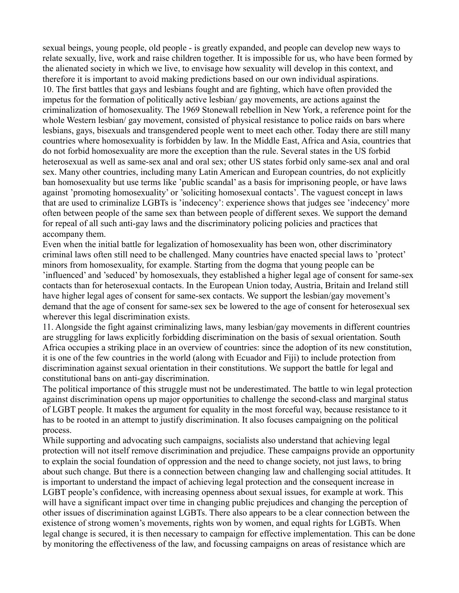sexual beings, young people, old people - is greatly expanded, and people can develop new ways to relate sexually, live, work and raise children together. It is impossible for us, who have been formed by the alienated society in which we live, to envisage how sexuality will develop in this context, and therefore it is important to avoid making predictions based on our own individual aspirations. 10. The first battles that gays and lesbians fought and are fighting, which have often provided the impetus for the formation of politically active lesbian/ gay movements, are actions against the criminalization of homosexuality. The 1969 Stonewall rebellion in New York, a reference point for the whole Western lesbian/ gay movement, consisted of physical resistance to police raids on bars where lesbians, gays, bisexuals and transgendered people went to meet each other. Today there are still many countries where homosexuality is forbidden by law. In the Middle East, Africa and Asia, countries that do not forbid homosexuality are more the exception than the rule. Several states in the US forbid heterosexual as well as same-sex anal and oral sex; other US states forbid only same-sex anal and oral sex. Many other countries, including many Latin American and European countries, do not explicitly ban homosexuality but use terms like 'public scandal' as a basis for imprisoning people, or have laws against 'promoting homosexuality' or 'soliciting homosexual contacts'. The vaguest concept in laws that are used to criminalize LGBTs is 'indecency': experience shows that judges see 'indecency' more often between people of the same sex than between people of different sexes. We support the demand for repeal of all such anti-gay laws and the discriminatory policing policies and practices that accompany them.

Even when the initial battle for legalization of homosexuality has been won, other discriminatory criminal laws often still need to be challenged. Many countries have enacted special laws to 'protect' minors from homosexuality, for example. Starting from the dogma that young people can be 'influenced' and 'seduced' by homosexuals, they established a higher legal age of consent for same-sex contacts than for heterosexual contacts. In the European Union today, Austria, Britain and Ireland still have higher legal ages of consent for same-sex contacts. We support the lesbian/gay movement's demand that the age of consent for same-sex sex be lowered to the age of consent for heterosexual sex wherever this legal discrimination exists.

11. Alongside the fight against criminalizing laws, many lesbian/gay movements in different countries are struggling for laws explicitly forbidding discrimination on the basis of sexual orientation. South Africa occupies a striking place in an overview of countries: since the adoption of its new constitution, it is one of the few countries in the world (along with Ecuador and Fiji) to include protection from discrimination against sexual orientation in their constitutions. We support the battle for legal and constitutional bans on anti-gay discrimination.

The political importance of this struggle must not be underestimated. The battle to win legal protection against discrimination opens up major opportunities to challenge the second-class and marginal status of LGBT people. It makes the argument for equality in the most forceful way, because resistance to it has to be rooted in an attempt to justify discrimination. It also focuses campaigning on the political process.

While supporting and advocating such campaigns, socialists also understand that achieving legal protection will not itself remove discrimination and prejudice. These campaigns provide an opportunity to explain the social foundation of oppression and the need to change society, not just laws, to bring about such change. But there is a connection between changing law and challenging social attitudes. It is important to understand the impact of achieving legal protection and the consequent increase in LGBT people's confidence, with increasing openness about sexual issues, for example at work. This will have a significant impact over time in changing public prejudices and changing the perception of other issues of discrimination against LGBTs. There also appears to be a clear connection between the existence of strong women's movements, rights won by women, and equal rights for LGBTs. When legal change is secured, it is then necessary to campaign for effective implementation. This can be done by monitoring the effectiveness of the law, and focussing campaigns on areas of resistance which are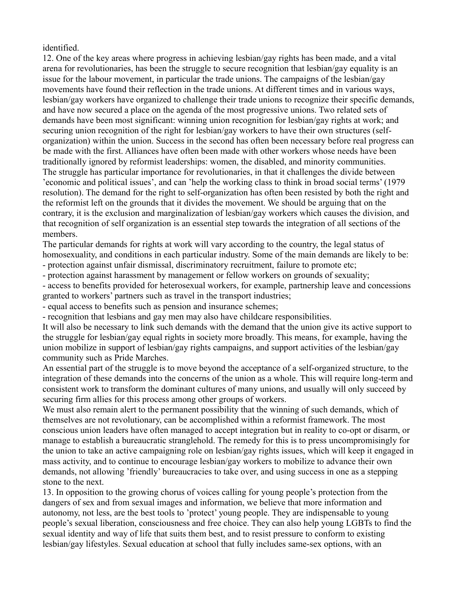# identified.

12. One of the key areas where progress in achieving lesbian/gay rights has been made, and a vital arena for revolutionaries, has been the struggle to secure recognition that lesbian/gay equality is an issue for the labour movement, in particular the trade unions. The campaigns of the lesbian/gay movements have found their reflection in the trade unions. At different times and in various ways, lesbian/gay workers have organized to challenge their trade unions to recognize their specific demands, and have now secured a place on the agenda of the most progressive unions. Two related sets of demands have been most significant: winning union recognition for lesbian/gay rights at work; and securing union recognition of the right for lesbian/gay workers to have their own structures (selforganization) within the union. Success in the second has often been necessary before real progress can be made with the first. Alliances have often been made with other workers whose needs have been traditionally ignored by reformist leaderships: women, the disabled, and minority communities. The struggle has particular importance for revolutionaries, in that it challenges the divide between 'economic and political issues', and can 'help the working class to think in broad social terms' (1979 resolution). The demand for the right to self-organization has often been resisted by both the right and the reformist left on the grounds that it divides the movement. We should be arguing that on the contrary, it is the exclusion and marginalization of lesbian/gay workers which causes the division, and that recognition of self organization is an essential step towards the integration of all sections of the members.

The particular demands for rights at work will vary according to the country, the legal status of homosexuality, and conditions in each particular industry. Some of the main demands are likely to be:

- protection against unfair dismissal, discriminatory recruitment, failure to promote etc;

- protection against harassment by management or fellow workers on grounds of sexuality;

- access to benefits provided for heterosexual workers, for example, partnership leave and concessions granted to workers' partners such as travel in the transport industries;

- equal access to benefits such as pension and insurance schemes;

- recognition that lesbians and gay men may also have childcare responsibilities.

It will also be necessary to link such demands with the demand that the union give its active support to the struggle for lesbian/gay equal rights in society more broadly. This means, for example, having the union mobilize in support of lesbian/gay rights campaigns, and support activities of the lesbian/gay community such as Pride Marches.

An essential part of the struggle is to move beyond the acceptance of a self-organized structure, to the integration of these demands into the concerns of the union as a whole. This will require long-term and consistent work to transform the dominant cultures of many unions, and usually will only succeed by securing firm allies for this process among other groups of workers.

We must also remain alert to the permanent possibility that the winning of such demands, which of themselves are not revolutionary, can be accomplished within a reformist framework. The most conscious union leaders have often managed to accept integration but in reality to co-opt or disarm, or manage to establish a bureaucratic stranglehold. The remedy for this is to press uncompromisingly for the union to take an active campaigning role on lesbian/gay rights issues, which will keep it engaged in mass activity, and to continue to encourage lesbian/gay workers to mobilize to advance their own demands, not allowing 'friendly' bureaucracies to take over, and using success in one as a stepping stone to the next.

13. In opposition to the growing chorus of voices calling for young people's protection from the dangers of sex and from sexual images and information, we believe that more information and autonomy, not less, are the best tools to 'protect' young people. They are indispensable to young people's sexual liberation, consciousness and free choice. They can also help young LGBTs to find the sexual identity and way of life that suits them best, and to resist pressure to conform to existing lesbian/gay lifestyles. Sexual education at school that fully includes same-sex options, with an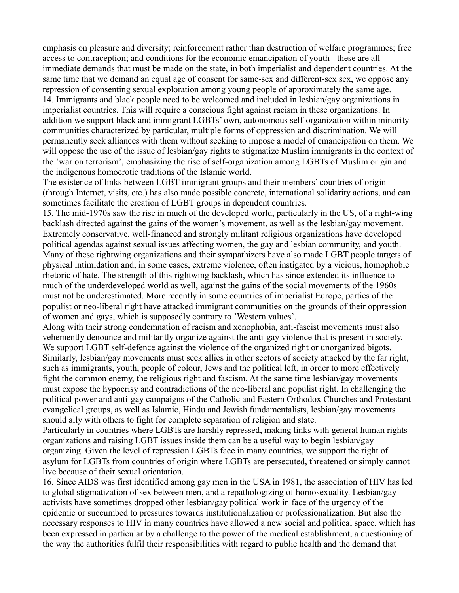emphasis on pleasure and diversity; reinforcement rather than destruction of welfare programmes; free access to contraception; and conditions for the economic emancipation of youth - these are all immediate demands that must be made on the state, in both imperialist and dependent countries. At the same time that we demand an equal age of consent for same-sex and different-sex sex, we oppose any repression of consenting sexual exploration among young people of approximately the same age. 14. Immigrants and black people need to be welcomed and included in lesbian/gay organizations in imperialist countries. This will require a conscious fight against racism in these organizations. In addition we support black and immigrant LGBTs' own, autonomous self-organization within minority communities characterized by particular, multiple forms of oppression and discrimination. We will permanently seek alliances with them without seeking to impose a model of emancipation on them. We will oppose the use of the issue of lesbian/gay rights to stigmatize Muslim immigrants in the context of the 'war on terrorism', emphasizing the rise of self-organization among LGBTs of Muslim origin and the indigenous homoerotic traditions of the Islamic world.

The existence of links between LGBT immigrant groups and their members' countries of origin (through Internet, visits, etc.) has also made possible concrete, international solidarity actions, and can sometimes facilitate the creation of LGBT groups in dependent countries.

15. The mid-1970s saw the rise in much of the developed world, particularly in the US, of a right-wing backlash directed against the gains of the women's movement, as well as the lesbian/gay movement. Extremely conservative, well-financed and strongly militant religious organizations have developed political agendas against sexual issues affecting women, the gay and lesbian community, and youth. Many of these rightwing organizations and their sympathizers have also made LGBT people targets of physical intimidation and, in some cases, extreme violence, often instigated by a vicious, homophobic rhetoric of hate. The strength of this rightwing backlash, which has since extended its influence to much of the underdeveloped world as well, against the gains of the social movements of the 1960s must not be underestimated. More recently in some countries of imperialist Europe, parties of the populist or neo-liberal right have attacked immigrant communities on the grounds of their oppression of women and gays, which is supposedly contrary to 'Western values'.

Along with their strong condemnation of racism and xenophobia, anti-fascist movements must also vehemently denounce and militantly organize against the anti-gay violence that is present in society. We support LGBT self-defence against the violence of the organized right or unorganized bigots. Similarly, lesbian/gay movements must seek allies in other sectors of society attacked by the far right, such as immigrants, youth, people of colour, Jews and the political left, in order to more effectively fight the common enemy, the religious right and fascism. At the same time lesbian/gay movements must expose the hypocrisy and contradictions of the neo-liberal and populist right. In challenging the political power and anti-gay campaigns of the Catholic and Eastern Orthodox Churches and Protestant evangelical groups, as well as Islamic, Hindu and Jewish fundamentalists, lesbian/gay movements should ally with others to fight for complete separation of religion and state.

Particularly in countries where LGBTs are harshly repressed, making links with general human rights organizations and raising LGBT issues inside them can be a useful way to begin lesbian/gay organizing. Given the level of repression LGBTs face in many countries, we support the right of asylum for LGBTs from countries of origin where LGBTs are persecuted, threatened or simply cannot live because of their sexual orientation.

16. Since AIDS was first identified among gay men in the USA in 1981, the association of HIV has led to global stigmatization of sex between men, and a repathologizing of homosexuality. Lesbian/gay activists have sometimes dropped other lesbian/gay political work in face of the urgency of the epidemic or succumbed to pressures towards institutionalization or professionalization. But also the necessary responses to HIV in many countries have allowed a new social and political space, which has been expressed in particular by a challenge to the power of the medical establishment, a questioning of the way the authorities fulfil their responsibilities with regard to public health and the demand that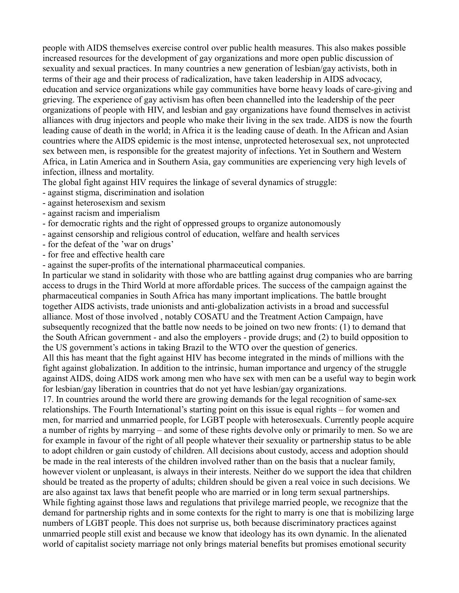people with AIDS themselves exercise control over public health measures. This also makes possible increased resources for the development of gay organizations and more open public discussion of sexuality and sexual practices. In many countries a new generation of lesbian/gay activists, both in terms of their age and their process of radicalization, have taken leadership in AIDS advocacy, education and service organizations while gay communities have borne heavy loads of care-giving and grieving. The experience of gay activism has often been channelled into the leadership of the peer organizations of people with HIV, and lesbian and gay organizations have found themselves in activist alliances with drug injectors and people who make their living in the sex trade. AIDS is now the fourth leading cause of death in the world; in Africa it is the leading cause of death. In the African and Asian countries where the AIDS epidemic is the most intense, unprotected heterosexual sex, not unprotected sex between men, is responsible for the greatest majority of infections. Yet in Southern and Western Africa, in Latin America and in Southern Asia, gay communities are experiencing very high levels of infection, illness and mortality.

The global fight against HIV requires the linkage of several dynamics of struggle:

- against stigma, discrimination and isolation
- against heterosexism and sexism
- against racism and imperialism
- for democratic rights and the right of oppressed groups to organize autonomously
- against censorship and religious control of education, welfare and health services
- for the defeat of the 'war on drugs'
- for free and effective health care
- against the super-profits of the international pharmaceutical companies.

In particular we stand in solidarity with those who are battling against drug companies who are barring access to drugs in the Third World at more affordable prices. The success of the campaign against the pharmaceutical companies in South Africa has many important implications. The battle brought together AIDS activists, trade unionists and anti-globalization activists in a broad and successful alliance. Most of those involved , notably COSATU and the Treatment Action Campaign, have subsequently recognized that the battle now needs to be joined on two new fronts: (1) to demand that the South African government - and also the employers - provide drugs; and (2) to build opposition to the US government's actions in taking Brazil to the WTO over the question of generics.

All this has meant that the fight against HIV has become integrated in the minds of millions with the fight against globalization. In addition to the intrinsic, human importance and urgency of the struggle against AIDS, doing AIDS work among men who have sex with men can be a useful way to begin work for lesbian/gay liberation in countries that do not yet have lesbian/gay organizations.

17. In countries around the world there are growing demands for the legal recognition of same-sex relationships. The Fourth International's starting point on this issue is equal rights – for women and men, for married and unmarried people, for LGBT people with heterosexuals. Currently people acquire a number of rights by marrying – and some of these rights devolve only or primarily to men. So we are for example in favour of the right of all people whatever their sexuality or partnership status to be able to adopt children or gain custody of children. All decisions about custody, access and adoption should be made in the real interests of the children involved rather than on the basis that a nuclear family, however violent or unpleasant, is always in their interests. Neither do we support the idea that children should be treated as the property of adults; children should be given a real voice in such decisions. We are also against tax laws that benefit people who are married or in long term sexual partnerships. While fighting against those laws and regulations that privilege married people, we recognize that the demand for partnership rights and in some contexts for the right to marry is one that is mobilizing large numbers of LGBT people. This does not surprise us, both because discriminatory practices against unmarried people still exist and because we know that ideology has its own dynamic. In the alienated world of capitalist society marriage not only brings material benefits but promises emotional security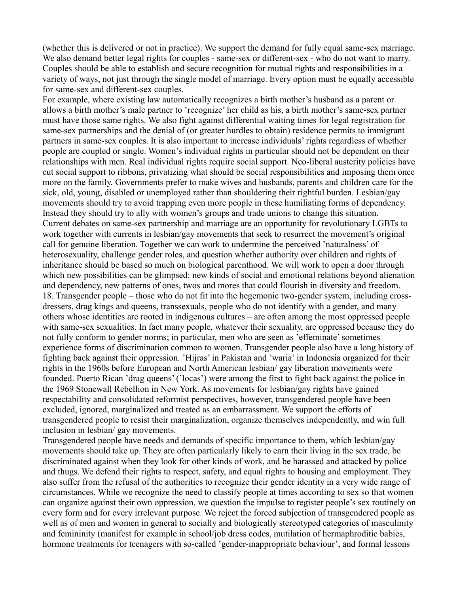(whether this is delivered or not in practice). We support the demand for fully equal same-sex marriage. We also demand better legal rights for couples - same-sex or different-sex - who do not want to marry. Couples should be able to establish and secure recognition for mutual rights and responsibilities in a variety of ways, not just through the single model of marriage. Every option must be equally accessible for same-sex and different-sex couples.

For example, where existing law automatically recognizes a birth mother's husband as a parent or allows a birth mother's male partner to 'recognize' her child as his, a birth mother's same-sex partner must have those same rights. We also fight against differential waiting times for legal registration for same-sex partnerships and the denial of (or greater hurdles to obtain) residence permits to immigrant partners in same-sex couples. It is also important to increase individuals' rights regardless of whether people are coupled or single. Women's individual rights in particular should not be dependent on their relationships with men. Real individual rights require social support. Neo-liberal austerity policies have cut social support to ribbons, privatizing what should be social responsibilities and imposing them once more on the family. Governments prefer to make wives and husbands, parents and children care for the sick, old, young, disabled or unemployed rather than shouldering their rightful burden. Lesbian/gay movements should try to avoid trapping even more people in these humiliating forms of dependency. Instead they should try to ally with women's groups and trade unions to change this situation. Current debates on same-sex partnership and marriage are an opportunity for revolutionary LGBTs to work together with currents in lesbian/gay movements that seek to resurrect the movement's original call for genuine liberation. Together we can work to undermine the perceived 'naturalness' of heterosexuality, challenge gender roles, and question whether authority over children and rights of inheritance should be based so much on biological parenthood. We will work to open a door through which new possibilities can be glimpsed: new kinds of social and emotional relations beyond alienation and dependency, new patterns of ones, twos and mores that could flourish in diversity and freedom. 18. Transgender people – those who do not fit into the hegemonic two-gender system, including crossdressers, drag kings and queens, transsexuals, people who do not identify with a gender, and many others whose identities are rooted in indigenous cultures – are often among the most oppressed people with same-sex sexualities. In fact many people, whatever their sexuality, are oppressed because they do not fully conform to gender norms; in particular, men who are seen as 'effeminate' sometimes experience forms of discrimination common to women. Transgender people also have a long history of fighting back against their oppression. 'Hijras' in Pakistan and 'waria' in Indonesia organized for their rights in the 1960s before European and North American lesbian/ gay liberation movements were founded. Puerto Rican 'drag queens' ('locas') were among the first to fight back against the police in the 1969 Stonewall Rebellion in New York. As movements for lesbian/gay rights have gained respectability and consolidated reformist perspectives, however, transgendered people have been excluded, ignored, marginalized and treated as an embarrassment. We support the efforts of transgendered people to resist their marginalization, organize themselves independently, and win full inclusion in lesbian/ gay movements.

Transgendered people have needs and demands of specific importance to them, which lesbian/gay movements should take up. They are often particularly likely to earn their living in the sex trade, be discriminated against when they look for other kinds of work, and be harassed and attacked by police and thugs. We defend their rights to respect, safety, and equal rights to housing and employment. They also suffer from the refusal of the authorities to recognize their gender identity in a very wide range of circumstances. While we recognize the need to classify people at times according to sex so that women can organize against their own oppression, we question the impulse to register people's sex routinely on every form and for every irrelevant purpose. We reject the forced subjection of transgendered people as well as of men and women in general to socially and biologically stereotyped categories of masculinity and femininity (manifest for example in school/job dress codes, mutilation of hermaphroditic babies, hormone treatments for teenagers with so-called 'gender-inappropriate behaviour', and formal lessons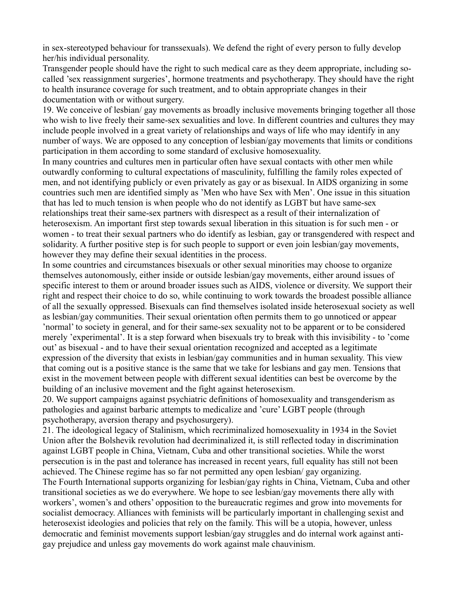in sex-stereotyped behaviour for transsexuals). We defend the right of every person to fully develop her/his individual personality.

Transgender people should have the right to such medical care as they deem appropriate, including socalled 'sex reassignment surgeries', hormone treatments and psychotherapy. They should have the right to health insurance coverage for such treatment, and to obtain appropriate changes in their documentation with or without surgery.

19. We conceive of lesbian/ gay movements as broadly inclusive movements bringing together all those who wish to live freely their same-sex sexualities and love. In different countries and cultures they may include people involved in a great variety of relationships and ways of life who may identify in any number of ways. We are opposed to any conception of lesbian/gay movements that limits or conditions participation in them according to some standard of exclusive homosexuality.

In many countries and cultures men in particular often have sexual contacts with other men while outwardly conforming to cultural expectations of masculinity, fulfilling the family roles expected of men, and not identifying publicly or even privately as gay or as bisexual. In AIDS organizing in some countries such men are identified simply as 'Men who have Sex with Men'. One issue in this situation that has led to much tension is when people who do not identify as LGBT but have same-sex relationships treat their same-sex partners with disrespect as a result of their internalization of heterosexism. An important first step towards sexual liberation in this situation is for such men - or women - to treat their sexual partners who do identify as lesbian, gay or transgendered with respect and solidarity. A further positive step is for such people to support or even join lesbian/gay movements, however they may define their sexual identities in the process.

In some countries and circumstances bisexuals or other sexual minorities may choose to organize themselves autonomously, either inside or outside lesbian/gay movements, either around issues of specific interest to them or around broader issues such as AIDS, violence or diversity. We support their right and respect their choice to do so, while continuing to work towards the broadest possible alliance of all the sexually oppressed. Bisexuals can find themselves isolated inside heterosexual society as well as lesbian/gay communities. Their sexual orientation often permits them to go unnoticed or appear 'normal' to society in general, and for their same-sex sexuality not to be apparent or to be considered merely 'experimental'. It is a step forward when bisexuals try to break with this invisibility - to 'come out' as bisexual - and to have their sexual orientation recognized and accepted as a legitimate expression of the diversity that exists in lesbian/gay communities and in human sexuality. This view that coming out is a positive stance is the same that we take for lesbians and gay men. Tensions that exist in the movement between people with different sexual identities can best be overcome by the building of an inclusive movement and the fight against heterosexism.

20. We support campaigns against psychiatric definitions of homosexuality and transgenderism as pathologies and against barbaric attempts to medicalize and 'cure' LGBT people (through psychotherapy, aversion therapy and psychosurgery).

21. The ideological legacy of Stalinism, which recriminalized homosexuality in 1934 in the Soviet Union after the Bolshevik revolution had decriminalized it, is still reflected today in discrimination against LGBT people in China, Vietnam, Cuba and other transitional societies. While the worst persecution is in the past and tolerance has increased in recent years, full equality has still not been achieved. The Chinese regime has so far not permitted any open lesbian/ gay organizing.

The Fourth International supports organizing for lesbian/gay rights in China, Vietnam, Cuba and other transitional societies as we do everywhere. We hope to see lesbian/gay movements there ally with workers', women's and others' opposition to the bureaucratic regimes and grow into movements for socialist democracy. Alliances with feminists will be particularly important in challenging sexist and heterosexist ideologies and policies that rely on the family. This will be a utopia, however, unless democratic and feminist movements support lesbian/gay struggles and do internal work against antigay prejudice and unless gay movements do work against male chauvinism.